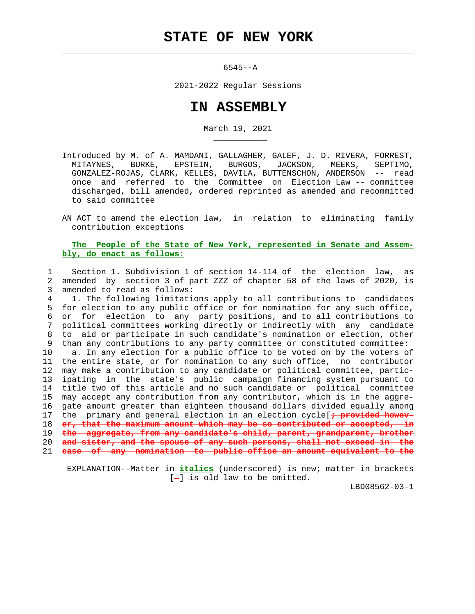$\mathcal{L}_\text{max} = \frac{1}{2} \sum_{i=1}^{n} \frac{1}{2} \sum_{i=1}^{n} \frac{1}{2} \sum_{i=1}^{n} \frac{1}{2} \sum_{i=1}^{n} \frac{1}{2} \sum_{i=1}^{n} \frac{1}{2} \sum_{i=1}^{n} \frac{1}{2} \sum_{i=1}^{n} \frac{1}{2} \sum_{i=1}^{n} \frac{1}{2} \sum_{i=1}^{n} \frac{1}{2} \sum_{i=1}^{n} \frac{1}{2} \sum_{i=1}^{n} \frac{1}{2} \sum_{i=1}^{n} \frac{1$ 

\_\_\_\_\_\_\_\_\_\_\_

6545--A

2021-2022 Regular Sessions

## **IN ASSEMBLY**

March 19, 2021

 Introduced by M. of A. MAMDANI, GALLAGHER, GALEF, J. D. RIVERA, FORREST, MITAYNES, BURKE, EPSTEIN, BURGOS, JACKSON, MEEKS, SEPTIMO, GONZALEZ-ROJAS, CLARK, KELLES, DAVILA, BUTTENSCHON, ANDERSON -- read once and referred to the Committee on Election Law -- committee discharged, bill amended, ordered reprinted as amended and recommitted to said committee

 AN ACT to amend the election law, in relation to eliminating family contribution exceptions

 **The People of the State of New York, represented in Senate and Assem bly, do enact as follows:**

 1 Section 1. Subdivision 1 of section 14-114 of the election law, as 2 amended by section 3 of part ZZZ of chapter 58 of the laws of 2020, is 3 amended to read as follows:

 4 1. The following limitations apply to all contributions to candidates 5 for election to any public office or for nomination for any such office, 6 or for election to any party positions, and to all contributions to 7 political committees working directly or indirectly with any candidate 8 to aid or participate in such candidate's nomination or election, other 9 than any contributions to any party committee or constituted committee:

 10 a. In any election for a public office to be voted on by the voters of 11 the entire state, or for nomination to any such office, no contributor 12 may make a contribution to any candidate or political committee, partic- 13 ipating in the state's public campaign financing system pursuant to 14 title two of this article and no such candidate or political committee 15 may accept any contribution from any contributor, which is in the aggre- 16 gate amount greater than eighteen thousand dollars divided equally among 17 the primary and general election in an election cycle[**; provided howev-** 18 **er, that the maximum amount which may be so contributed or accepted,**  19 **the aggregate, from any candidate's child, parent, grandparent, brother** 20 **and sister, and the spouse of any such persons, shall not exceed in the**

21 **case of any nomination to public office an amount equivalent to the**

 EXPLANATION--Matter in **italics** (underscored) is new; matter in brackets  $[-]$  is old law to be omitted.

LBD08562-03-1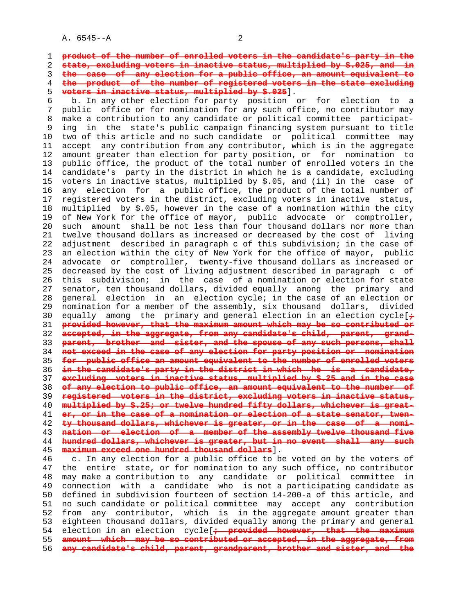A. 6545--A 2

**product of the number of enrolled voters in the candidate's party in the state, excluding voters in inactive status, multiplied by \$.025, and in the case of any election for a public office, an amount equivalent to the product of the number of registered voters in the state excluding voters in inactive status, multiplied by \$.025**].

 6 b. In any other election for party position or for election to a 7 public office or for nomination for any such office, no contributor may 8 make a contribution to any candidate or political committee participat ing in the state's public campaign financing system pursuant to title 10 two of this article and no such candidate or political committee may 11 accept any contribution from any contributor, which is in the aggregate 12 amount greater than election for party position, or for nomination to 13 public office, the product of the total number of enrolled voters in the 14 candidate's party in the district in which he is a candidate, excluding 15 voters in inactive status, multiplied by \$.05, and (ii) in the case of 16 any election for a public office, the product of the total number of 17 registered voters in the district, excluding voters in inactive status, 18 multiplied by \$.05, however in the case of a nomination within the city 19 of New York for the office of mayor, public advocate or comptroller, 20 such amount shall be not less than four thousand dollars nor more than 21 twelve thousand dollars as increased or decreased by the cost of living 22 adjustment described in paragraph c of this subdivision; in the case of 23 an election within the city of New York for the office of mayor, public 24 advocate or comptroller, twenty-five thousand dollars as increased or 25 decreased by the cost of living adjustment described in paragraph c of 26 this subdivision; in the case of a nomination or election for state 27 senator, ten thousand dollars, divided equally among the primary and 28 general election in an election cycle; in the case of an election or 29 nomination for a member of the assembly, six thousand dollars, divided 30 equally among the primary and general election in an election cycle[**;** 31 **provided however, that the maximum amount which may be so contributed or** 32 **accepted, in the aggregate, from any candidate's child, parent, grand-** 33 **parent, brother and sister, and the spouse of any such persons, shall** 34 **not exceed in the case of any election for party position or nomination** 35 **for public office an amount equivalent to the number of enrolled voters** 36 **in the candidate's party in the district in which he is a candidate,** 37 **excluding voters in inactive status, multiplied by \$.25 and in the case** 38 **of any election to public office, an amount equivalent to the number of** 39 **registered voters in the district, excluding voters in inactive status,** 40 **multiplied by \$.25; or twelve hundred fifty dollars, whichever is great-** 41 **er, or in the case of a nomination or election of a state senator, twen-** 42 **ty thousand dollars, whichever is greater, or in the case of a nomi-** 43 **nation or election of a member of the assembly twelve thousand five** 44 **hundred dollars, whichever is greater, but in no event shall any such** 45 **maximum exceed one hundred thousand dollars**].

 46 c. In any election for a public office to be voted on by the voters of 47 the entire state, or for nomination to any such office, no contributor 48 may make a contribution to any candidate or political committee in 49 connection with a candidate who is not a participating candidate as 50 defined in subdivision fourteen of section 14-200-a of this article, and 51 no such candidate or political committee may accept any contribution 52 from any contributor, which is in the aggregate amount greater than 53 eighteen thousand dollars, divided equally among the primary and general 54 election in an election cycle[**; provided however, that the maximum** 55 **amount which may be so contributed or accepted, in the aggregate, from** 56 **any candidate's child, parent, grandparent, brother and sister, and the**